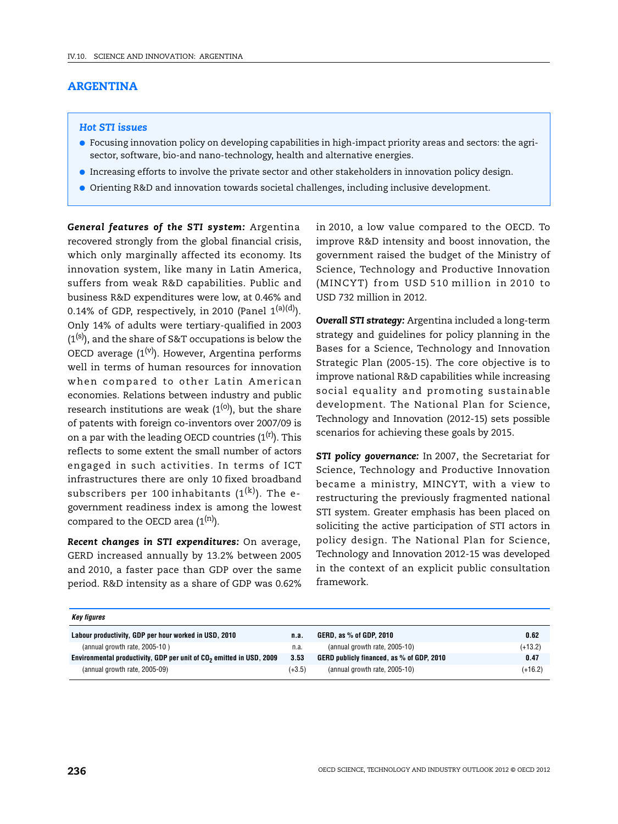## **ARGENTINA**

## *Hot STI issues*

- Focusing innovation policy on developing capabilities in high-impact priority areas and sectors: the agrisector, software, bio-and nano-technology, health and alternative energies.
- Increasing efforts to involve the private sector and other stakeholders in innovation policy design.
- Orienting R&D and innovation towards societal challenges, including inclusive development.

*General features of the STI system:* Argentina recovered strongly from the global financial crisis, which only marginally affected its economy. Its innovation system, like many in Latin America, suffers from weak R&D capabilities. Public and business R&D expenditures were low, at 0.46% and 0.14% of GDP, respectively, in 2010 (Panel  $1^{(a)(d)}$ ). Only 14% of adults were tertiary-qualified in 2003  $(1<sup>(s)</sup>)$ , and the share of S&T occupations is below the OECD average  $(1^{(v)})$ . However, Argentina performs well in terms of human resources for innovation when compared to other Latin American economies. Relations between industry and public research institutions are weak  $(1^{(0)})$ , but the share of patents with foreign co-inventors over 2007/09 is on a par with the leading OECD countries  $(1^{(r)})$ . This reflects to some extent the small number of actors engaged in such activities. In terms of ICT infrastructures there are only 10 fixed broadband subscribers per 100 inhabitants  $(1^{(k)})$ . The egovernment readiness index is among the lowest compared to the OECD area  $(1^{(n)})$ .

*Recent changes in STI expenditures:* On average, GERD increased annually by 13.2% between 2005 and 2010, a faster pace than GDP over the same period. R&D intensity as a share of GDP was 0.62%

in 2010, a low value compared to the OECD. To improve R&D intensity and boost innovation, the government raised the budget of the Ministry of Science, Technology and Productive Innovation (MINCYT) from USD 510 million in 2010 to USD 732 million in 2012.

*Overall STI strategy:* Argentina included a long-term strategy and guidelines for policy planning in the Bases for a Science, Technology and Innovation Strategic Plan (2005-15). The core objective is to improve national R&D capabilities while increasing social equality and promoting sustainable development. The National Plan for Science, Technology and Innovation (2012-15) sets possible scenarios for achieving these goals by 2015.

*STI policy governance:* In 2007, the Secretariat for Science, Technology and Productive Innovation became a ministry, MINCYT, with a view to restructuring the previously fragmented national STI system. Greater emphasis has been placed on soliciting the active participation of STI actors in policy design. The National Plan for Science, Technology and Innovation 2012-15 was developed in the context of an explicit public consultation framework.

| Labour productivity, GDP per hour worked in USD, 2010                            | n.a.     | GERD, as % of GDP, 2010                   | 0.62      |
|----------------------------------------------------------------------------------|----------|-------------------------------------------|-----------|
| (annual growth rate, 2005-10)                                                    | n.a.     | (annual growth rate, 2005-10)             | $(+13.2)$ |
| Environmental productivity, GDP per unit of CO <sub>2</sub> emitted in USD, 2009 | 3.53     | GERD publicly financed, as % of GDP, 2010 | 0.47      |
| (annual growth rate, 2005-09)                                                    | $(+3.5)$ | (annual growth rate, 2005-10)             | $(+16.2)$ |

*Key figures*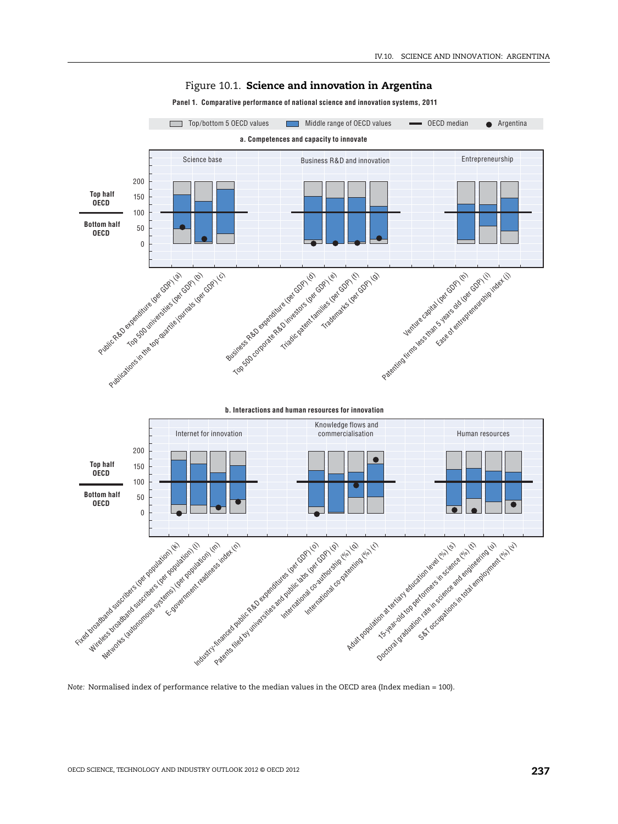

Figure 10.1. **Science and innovation in Argentina**

**Panel 1. Comparative performance of national science and innovation systems, 2011**

*Note:* Normalised index of performance relative to the median values in the OECD area (Index median = 100).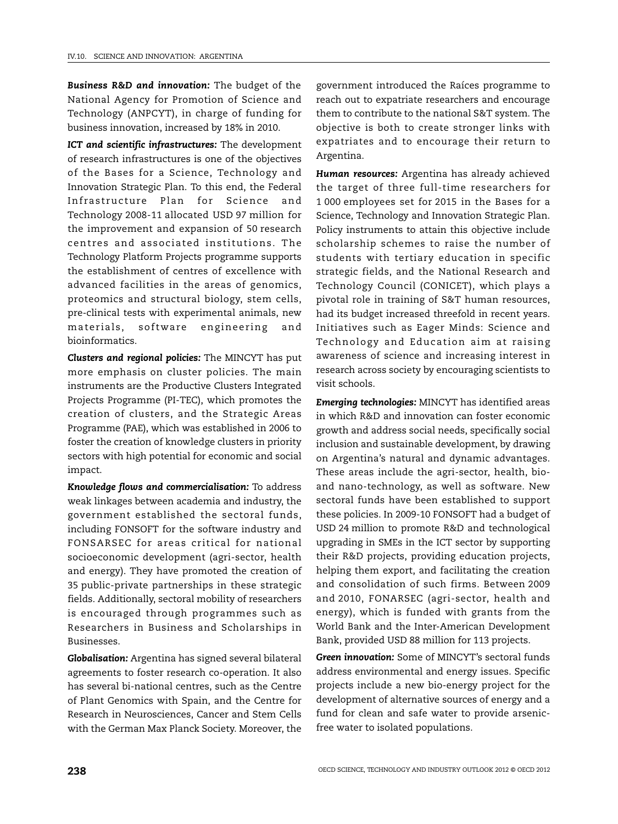*Business R&D and innovation:* The budget of the National Agency for Promotion of Science and Technology (ANPCYT), in charge of funding for business innovation, increased by 18% in 2010.

*ICT and scientific infrastructures:* The development of research infrastructures is one of the objectives of the Bases for a Science, Technology and Innovation Strategic Plan. To this end, the Federal Infrastructure Plan for Science and Technology 2008-11 allocated USD 97 million for the improvement and expansion of 50 research centres and associated institutions. The Technology Platform Projects programme supports the establishment of centres of excellence with advanced facilities in the areas of genomics, proteomics and structural biology, stem cells, pre-clinical tests with experimental animals, new materials, software engineering and bioinformatics.

*Clusters and regional policies:* The MINCYT has put more emphasis on cluster policies. The main instruments are the Productive Clusters Integrated Projects Programme (PI-TEC), which promotes the creation of clusters, and the Strategic Areas Programme (PAE), which was established in 2006 to foster the creation of knowledge clusters in priority sectors with high potential for economic and social impact.

*Knowledge flows and commercialisation:* To address weak linkages between academia and industry, the government established the sectoral funds, including FONSOFT for the software industry and FONSARSEC for areas critical for national socioeconomic development (agri-sector, health and energy). They have promoted the creation of 35 public-private partnerships in these strategic fields. Additionally, sectoral mobility of researchers is encouraged through programmes such as Researchers in Business and Scholarships in Businesses.

*Globalisation:* Argentina has signed several bilateral agreements to foster research co-operation. It also has several bi-national centres, such as the Centre of Plant Genomics with Spain, and the Centre for Research in Neurosciences, Cancer and Stem Cells with the German Max Planck Society. Moreover, the

government introduced the Raíces programme to reach out to expatriate researchers and encourage them to contribute to the national S&T system. The objective is both to create stronger links with expatriates and to encourage their return to Argentina.

*Human resources:* Argentina has already achieved the target of three full-time researchers for 1 000 employees set for 2015 in the Bases for a Science, Technology and Innovation Strategic Plan. Policy instruments to attain this objective include scholarship schemes to raise the number of students with tertiary education in specific strategic fields, and the National Research and Technology Council (CONICET), which plays a pivotal role in training of S&T human resources, had its budget increased threefold in recent years. Initiatives such as Eager Minds: Science and Technology and Education aim at raising awareness of science and increasing interest in research across society by encouraging scientists to visit schools.

*Emerging technologies:* MINCYT has identified areas in which R&D and innovation can foster economic growth and address social needs, specifically social inclusion and sustainable development, by drawing on Argentina's natural and dynamic advantages. These areas include the agri-sector, health, bioand nano-technology, as well as software. New sectoral funds have been established to support these policies. In 2009-10 FONSOFT had a budget of USD 24 million to promote R&D and technological upgrading in SMEs in the ICT sector by supporting their R&D projects, providing education projects, helping them export, and facilitating the creation and consolidation of such firms. Between 2009 and 2010, FONARSEC (agri-sector, health and energy), which is funded with grants from the World Bank and the Inter-American Development Bank, provided USD 88 million for 113 projects.

*Green innovation:* Some of MINCYT's sectoral funds address environmental and energy issues. Specific projects include a new bio-energy project for the development of alternative sources of energy and a fund for clean and safe water to provide arsenicfree water to isolated populations.